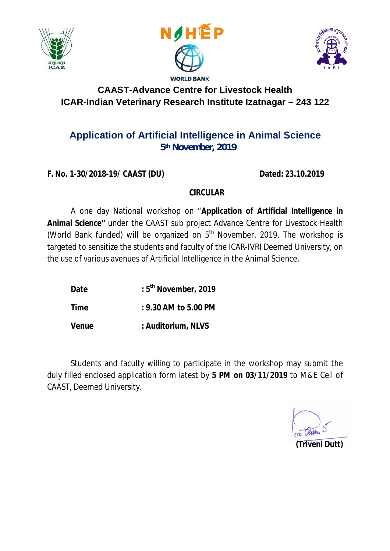





## **CAAST-Advance Centre for Livestock Health ICAR-Indian Veterinary Research Institute Izatnagar – 243 122**

## **Application of Artificial Intelligence in Animal Science 5th November, 2019**

**F. No. 1-30/2018-19/ CAAST (DU) Dated: 23.10.2019**

### **CIRCULAR**

A one day National workshop on "**Application of Artificial Intelligence in Animal Science"** under the CAAST sub project Advance Centre for Livestock Health (World Bank funded) will be organized on  $5<sup>th</sup>$  November, 2019. The workshop is targeted to sensitize the students and faculty of the ICAR-IVRI Deemed University, on the use of various avenues of Artificial Intelligence in the Animal Science.

- **Date : 5th November, 2019**
- **Time : 9.30 AM to 5.00 PM**

**Venue : Auditorium, NLVS**

Students and faculty willing to participate in the workshop may submit the duly filled enclosed application form latest by *5 PM on 03/11/2019* to M&E Cell of CAAST, Deemed University.

**(Triveni Dutt)**